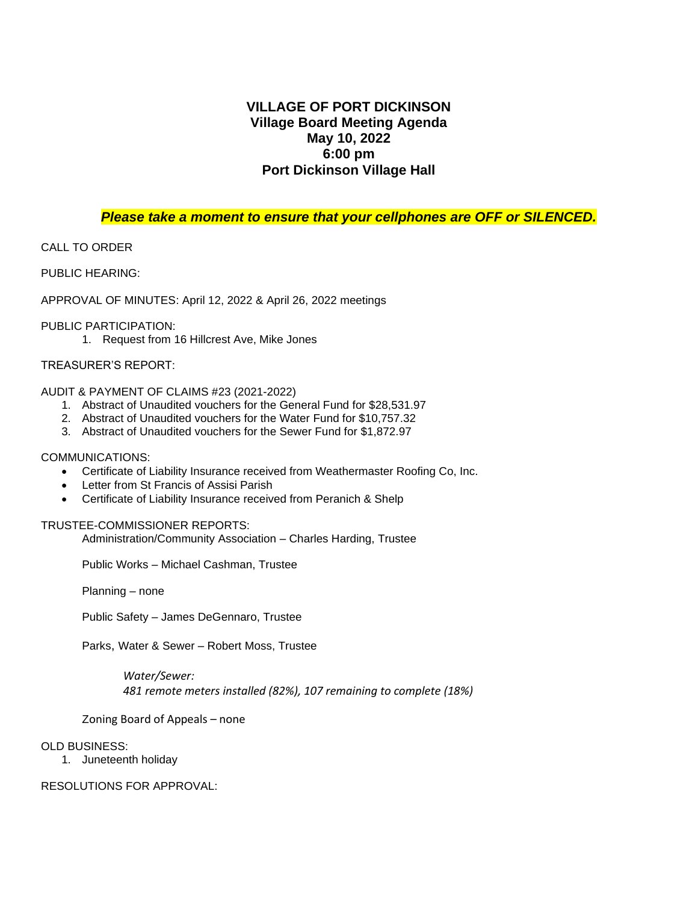## **VILLAGE OF PORT DICKINSON Village Board Meeting Agenda May 10, 2022 6:00 pm Port Dickinson Village Hall**

### *Please take a moment to ensure that your cellphones are OFF or SILENCED.*

### CALL TO ORDER

PUBLIC HEARING:

APPROVAL OF MINUTES: April 12, 2022 & April 26, 2022 meetings

#### PUBLIC PARTICIPATION:

1. Request from 16 Hillcrest Ave, Mike Jones

#### TREASURER'S REPORT:

#### AUDIT & PAYMENT OF CLAIMS #23 (2021-2022)

- 1. Abstract of Unaudited vouchers for the General Fund for \$28,531.97
- 2. Abstract of Unaudited vouchers for the Water Fund for \$10,757.32
- 3. Abstract of Unaudited vouchers for the Sewer Fund for \$1,872.97

#### COMMUNICATIONS:

- Certificate of Liability Insurance received from Weathermaster Roofing Co, Inc.
- Letter from St Francis of Assisi Parish
- Certificate of Liability Insurance received from Peranich & Shelp

#### TRUSTEE-COMMISSIONER REPORTS:

Administration/Community Association – Charles Harding, Trustee

Public Works – Michael Cashman, Trustee

Planning – none

Public Safety – James DeGennaro, Trustee

Parks, Water & Sewer – Robert Moss, Trustee

*Water/Sewer: 481 remote meters installed (82%), 107 remaining to complete (18%)*

Zoning Board of Appeals – none

#### OLD BUSINESS:

1. Juneteenth holiday

RESOLUTIONS FOR APPROVAL: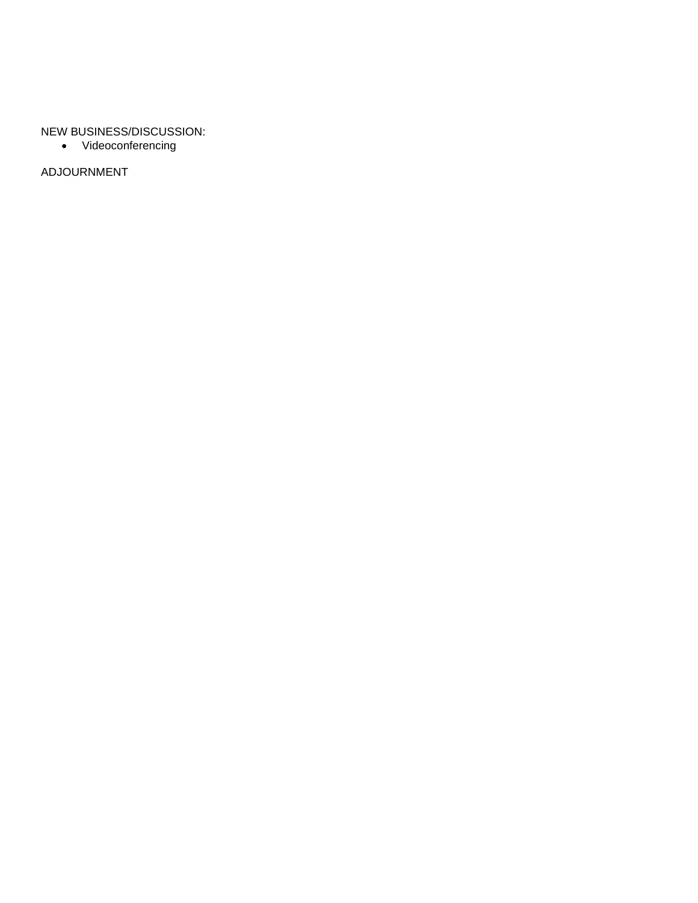### NEW BUSINESS/DISCUSSION:

• Videoconferencing

ADJOURNMENT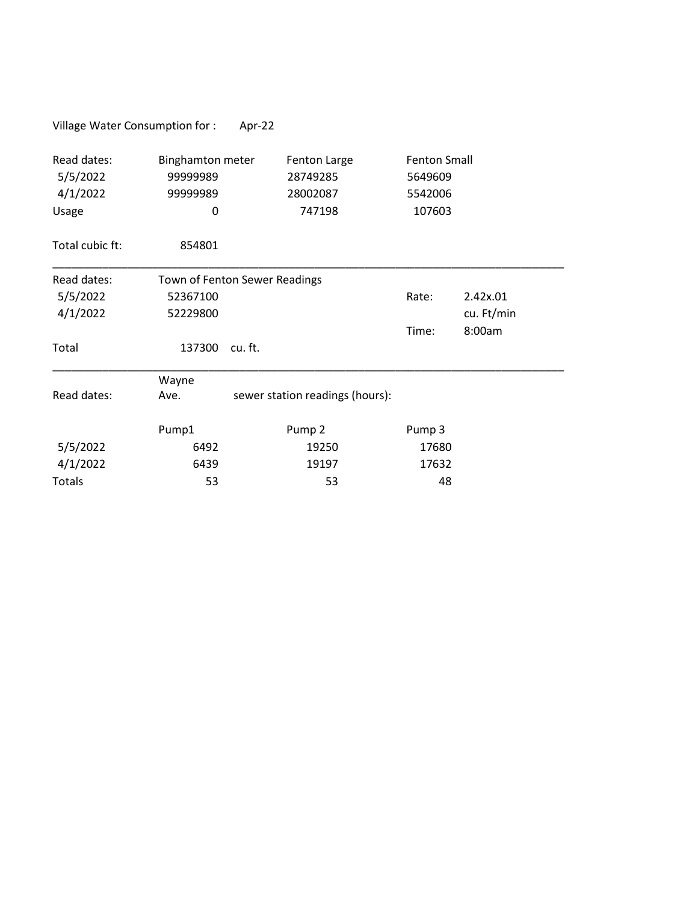| Village Water Consumption for:               |                                                      | Apr-22  |                                                |                                                     |            |  |
|----------------------------------------------|------------------------------------------------------|---------|------------------------------------------------|-----------------------------------------------------|------------|--|
| Read dates:<br>5/5/2022<br>4/1/2022<br>Usage | <b>Binghamton meter</b><br>99999989<br>99999989<br>0 |         | Fenton Large<br>28749285<br>28002087<br>747198 | <b>Fenton Small</b><br>5649609<br>5542006<br>107603 |            |  |
| Total cubic ft:                              | 854801                                               |         |                                                |                                                     |            |  |
| Read dates:                                  | Town of Fenton Sewer Readings                        |         |                                                |                                                     |            |  |
| 5/5/2022                                     | 52367100                                             |         |                                                | Rate:                                               | 2.42x.01   |  |
| 4/1/2022                                     | 52229800                                             |         |                                                |                                                     | cu. Ft/min |  |
|                                              |                                                      |         |                                                | Time:                                               | 8:00am     |  |
| Total                                        | 137300                                               | cu. ft. |                                                |                                                     |            |  |
|                                              | Wayne                                                |         |                                                |                                                     |            |  |
| Read dates:                                  | Ave.                                                 |         | sewer station readings (hours):                |                                                     |            |  |
|                                              | Pump1                                                |         | Pump <sub>2</sub>                              | Pump 3                                              |            |  |
| 5/5/2022                                     | 6492                                                 |         | 19250                                          | 17680                                               |            |  |
| 4/1/2022                                     | 6439                                                 |         | 19197                                          | 17632                                               |            |  |
| <b>Totals</b>                                | 53                                                   |         | 53                                             | 48                                                  |            |  |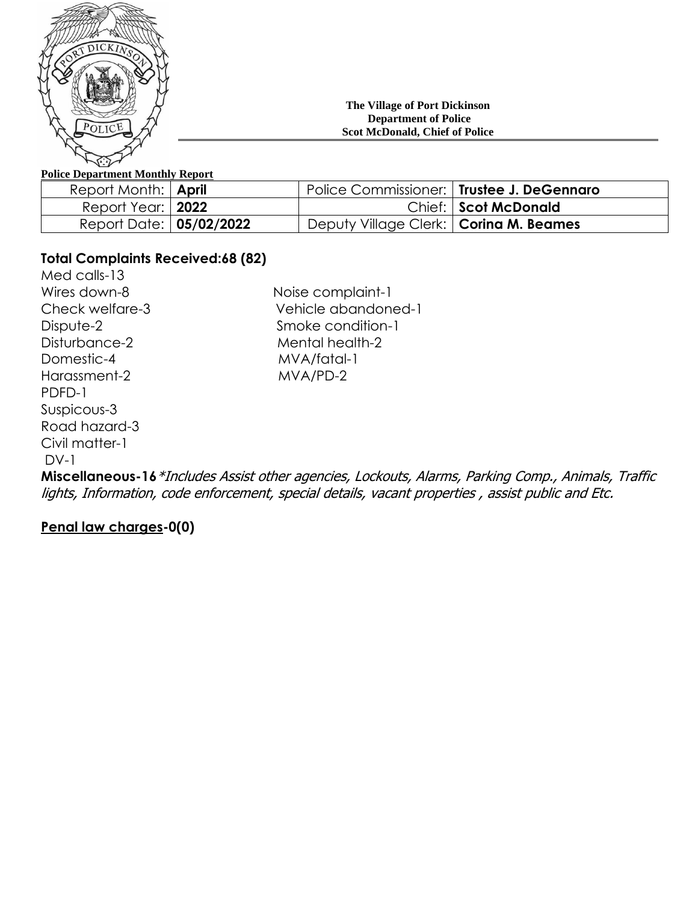

#### **The Village of Port Dickinson Department of Police Scot McDonald, Chief of Police**

## **Police Department Monthly Report**

| Report Month:   April      |                                          | Police Commissioner:   Trustee J. DeGennaro |
|----------------------------|------------------------------------------|---------------------------------------------|
| Report Year:   <b>2022</b> |                                          | Chief: Scot McDonald                        |
| Report Date: 05/02/2022    | Deputy Village Clerk:   Corina M. Beames |                                             |

# **Total Complaints Received:68 (82)**

Med calls-13 Domestic-4 MVA/fatal-1 Harassment-2 MVA/PD-2 PDFD-1 Suspicous-3 Road hazard-3 Civil matter-1 DV-1

Wires down-8 Noise complaint-1 Check welfare-3 Vehicle abandoned-1 Dispute-2 Smoke condition-1 Disturbance-2 Mental health-2

**Miscellaneous-16**\*Includes Assist other agencies, Lockouts, Alarms, Parking Comp., Animals, Traffic lights, Information, code enforcement, special details, vacant properties , assist public and Etc.

# **Penal law charges-0(0)**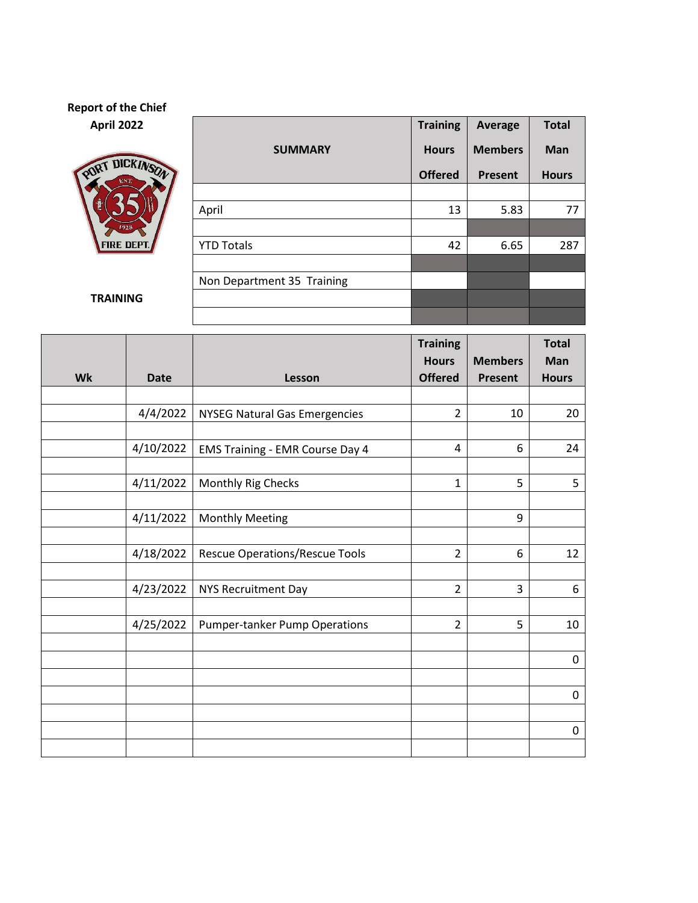## **Report of the Chief April 2022 Training Average Total**



**TRAINING**

|                            | <b>Training</b> | <b>Average</b> | <b>Total</b> |  |
|----------------------------|-----------------|----------------|--------------|--|
| <b>SUMMARY</b>             | <b>Hours</b>    | <b>Members</b> | Man          |  |
|                            | <b>Offered</b>  | Present        | <b>Hours</b> |  |
|                            |                 |                |              |  |
| April                      | 13              | 5.83           | 77           |  |
|                            |                 |                |              |  |
| <b>YTD Totals</b>          | 42              | 6.65           | 287          |  |
|                            |                 |                |              |  |
| Non Department 35 Training |                 |                |              |  |
|                            |                 |                |              |  |
|                            |                 |                |              |  |

|    |             |                                        | <b>Training</b> |                | <b>Total</b> |
|----|-------------|----------------------------------------|-----------------|----------------|--------------|
|    |             |                                        | <b>Hours</b>    | <b>Members</b> | Man          |
| Wk | <b>Date</b> | Lesson                                 | <b>Offered</b>  | <b>Present</b> | <b>Hours</b> |
|    |             |                                        |                 |                |              |
|    | 4/4/2022    | <b>NYSEG Natural Gas Emergencies</b>   | $\overline{2}$  | 10             | 20           |
|    |             |                                        |                 |                |              |
|    | 4/10/2022   | <b>EMS Training - EMR Course Day 4</b> | 4               | 6              | 24           |
|    |             |                                        |                 |                |              |
|    | 4/11/2022   | Monthly Rig Checks                     | 1               | 5              | 5            |
|    |             |                                        |                 |                |              |
|    | 4/11/2022   | <b>Monthly Meeting</b>                 |                 | 9              |              |
|    |             |                                        |                 |                |              |
|    | 4/18/2022   | <b>Rescue Operations/Rescue Tools</b>  | $\overline{2}$  | 6              | 12           |
|    |             |                                        |                 |                |              |
|    | 4/23/2022   | <b>NYS Recruitment Day</b>             | $\overline{2}$  | 3              | 6            |
|    |             |                                        |                 |                |              |
|    | 4/25/2022   | <b>Pumper-tanker Pump Operations</b>   | $\overline{2}$  | 5              | 10           |
|    |             |                                        |                 |                |              |
|    |             |                                        |                 |                | $\pmb{0}$    |
|    |             |                                        |                 |                |              |
|    |             |                                        |                 |                | $\pmb{0}$    |
|    |             |                                        |                 |                |              |
|    |             |                                        |                 |                | $\pmb{0}$    |
|    |             |                                        |                 |                |              |